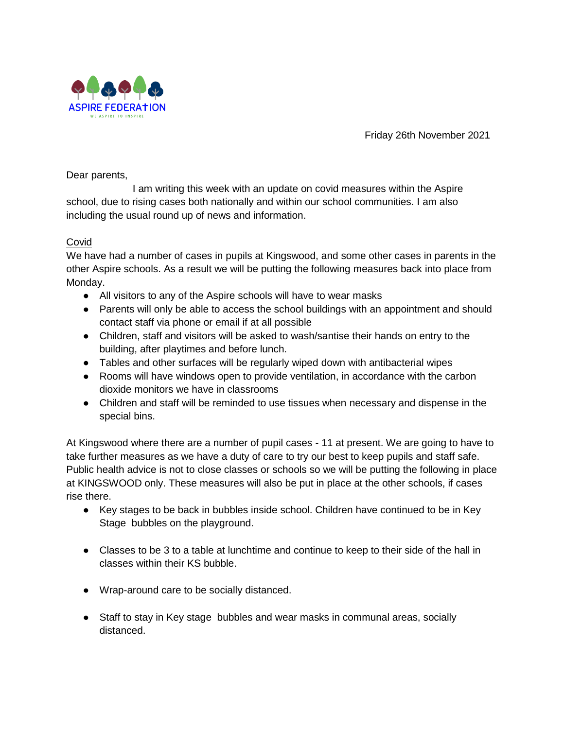

Friday 26th November 2021

Dear parents,

I am writing this week with an update on covid measures within the Aspire school, due to rising cases both nationally and within our school communities. I am also including the usual round up of news and information.

## Covid

We have had a number of cases in pupils at Kingswood, and some other cases in parents in the other Aspire schools. As a result we will be putting the following measures back into place from Monday.

- All visitors to any of the Aspire schools will have to wear masks
- Parents will only be able to access the school buildings with an appointment and should contact staff via phone or email if at all possible
- Children, staff and visitors will be asked to wash/santise their hands on entry to the building, after playtimes and before lunch.
- Tables and other surfaces will be regularly wiped down with antibacterial wipes
- Rooms will have windows open to provide ventilation, in accordance with the carbon dioxide monitors we have in classrooms
- Children and staff will be reminded to use tissues when necessary and dispense in the special bins.

At Kingswood where there are a number of pupil cases - 11 at present. We are going to have to take further measures as we have a duty of care to try our best to keep pupils and staff safe. Public health advice is not to close classes or schools so we will be putting the following in place at KINGSWOOD only. These measures will also be put in place at the other schools, if cases rise there.

- Key stages to be back in bubbles inside school. Children have continued to be in Key Stage bubbles on the playground.
- Classes to be 3 to a table at lunchtime and continue to keep to their side of the hall in classes within their KS bubble.
- Wrap-around care to be socially distanced.
- Staff to stay in Key stage bubbles and wear masks in communal areas, socially distanced.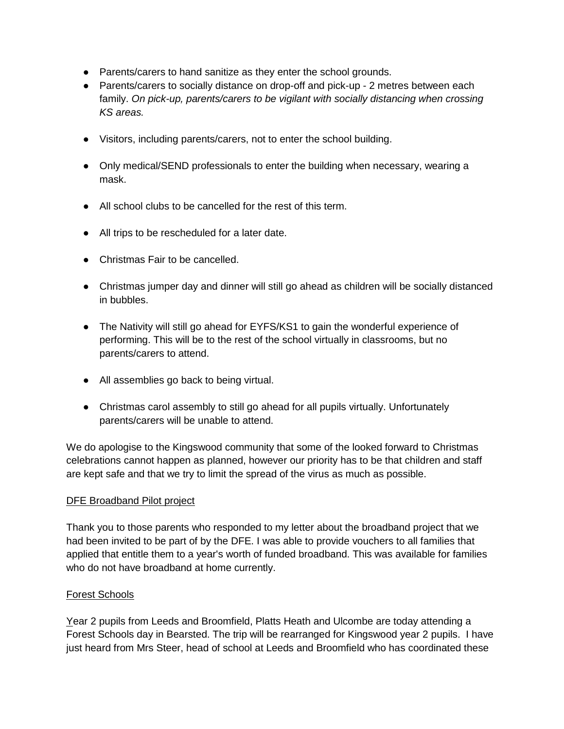- Parents/carers to hand sanitize as they enter the school grounds.
- Parents/carers to socially distance on drop-off and pick-up 2 metres between each family. *On pick-up, parents/carers to be vigilant with socially distancing when crossing KS areas.*
- Visitors, including parents/carers, not to enter the school building.
- Only medical/SEND professionals to enter the building when necessary, wearing a mask.
- All school clubs to be cancelled for the rest of this term.
- All trips to be rescheduled for a later date.
- Christmas Fair to be cancelled.
- Christmas jumper day and dinner will still go ahead as children will be socially distanced in bubbles.
- The Nativity will still go ahead for EYFS/KS1 to gain the wonderful experience of performing. This will be to the rest of the school virtually in classrooms, but no parents/carers to attend.
- All assemblies go back to being virtual.
- Christmas carol assembly to still go ahead for all pupils virtually. Unfortunately parents/carers will be unable to attend.

We do apologise to the Kingswood community that some of the looked forward to Christmas celebrations cannot happen as planned, however our priority has to be that children and staff are kept safe and that we try to limit the spread of the virus as much as possible.

## DFE Broadband Pilot project

Thank you to those parents who responded to my letter about the broadband project that we had been invited to be part of by the DFE. I was able to provide vouchers to all families that applied that entitle them to a year's worth of funded broadband. This was available for families who do not have broadband at home currently.

## Forest Schools

Year 2 pupils from Leeds and Broomfield, Platts Heath and Ulcombe are today attending a Forest Schools day in Bearsted. The trip will be rearranged for Kingswood year 2 pupils. I have just heard from Mrs Steer, head of school at Leeds and Broomfield who has coordinated these